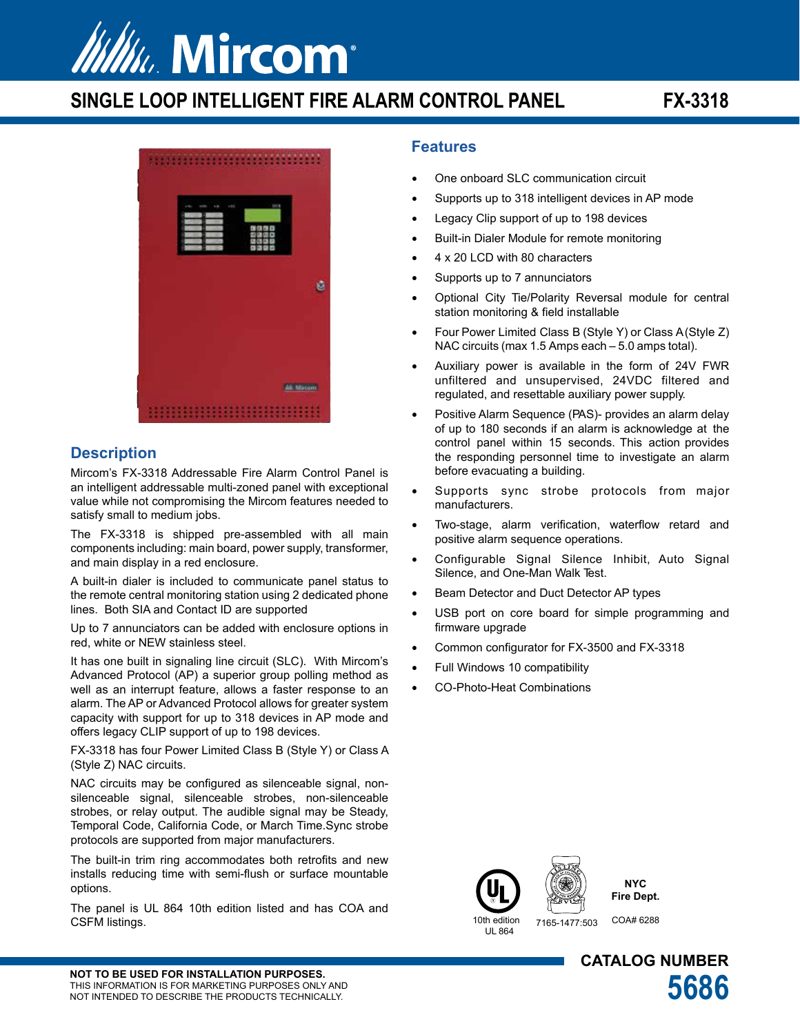

# **SINGLE LOOP INTELLIGENT FIRE ALARM CONTROL PANEL FX-3318**



### **Description**

Mircom's FX-3318 Addressable Fire Alarm Control Panel is an intelligent addressable multi-zoned panel with exceptional value while not compromising the Mircom features needed to satisfy small to medium jobs.

The FX-3318 is shipped pre-assembled with all main components including: main board, power supply, transformer, and main display in a red enclosure.

A built-in dialer is included to communicate panel status to the remote central monitoring station using 2 dedicated phone lines. Both SIA and Contact ID are supported

Up to 7 annunciators can be added with enclosure options in red, white or NEW stainless steel.

It has one built in signaling line circuit (SLC). With Mircom's Advanced Protocol (AP) a superior group polling method as well as an interrupt feature, allows a faster response to an alarm. The AP or Advanced Protocol allows for greater system capacity with support for up to 318 devices in AP mode and offers legacy CLIP support of up to 198 devices.

FX-3318 has four Power Limited Class B (Style Y) or Class A (Style Z) NAC circuits.

NAC circuits may be configured as silenceable signal, nonsilenceable signal, silenceable strobes, non-silenceable strobes, or relay output. The audible signal may be Steady, Temporal Code, California Code, or March Time.Sync strobe protocols are supported from major manufacturers.

The built-in trim ring accommodates both retrofits and new installs reducing time with semi-flush or surface mountable options.

The panel is UL 864 10th edition listed and has COA and CSFM listings. 10th edition and the contract of the contract of the contract of the contract of the contract of the contract of the contract of the contract of the contract of the contract of the contract of the contract o

### **Features**

- One onboard SLC communication circuit
- Supports up to 318 intelligent devices in AP mode
- Legacy Clip support of up to 198 devices
- Built-in Dialer Module for remote monitoring
- 4 x 20 LCD with 80 characters
- Supports up to 7 annunciators
- Optional City Tie/Polarity Reversal module for central station monitoring & field installable
- Four Power Limited Class B (Style Y) or Class A (Style Z) NAC circuits (max 1.5 Amps each – 5.0 amps total).
- Auxiliary power is available in the form of 24V FWR unfiltered and unsupervised, 24VDC filtered and regulated, and resettable auxiliary power supply.
- Positive Alarm Sequence (PAS)- provides an alarm delay of up to 180 seconds if an alarm is acknowledge at the control panel within 15 seconds. This action provides the responding personnel time to investigate an alarm before evacuating a building.
- Supports sync strobe protocols from major manufacturers.
- Two-stage, alarm verification, waterflow retard and positive alarm sequence operations.
- Configurable Signal Silence Inhibit, Auto Signal Silence, and One-Man Walk Test.
- Beam Detector and Duct Detector AP types
- USB port on core board for simple programming and firmware upgrade
- Common configurator for FX-3500 and FX-3318
- Full Windows 10 compatibility
- CO-Photo-Heat Combinations





UL 864

7165-1477:503 COA# 6288

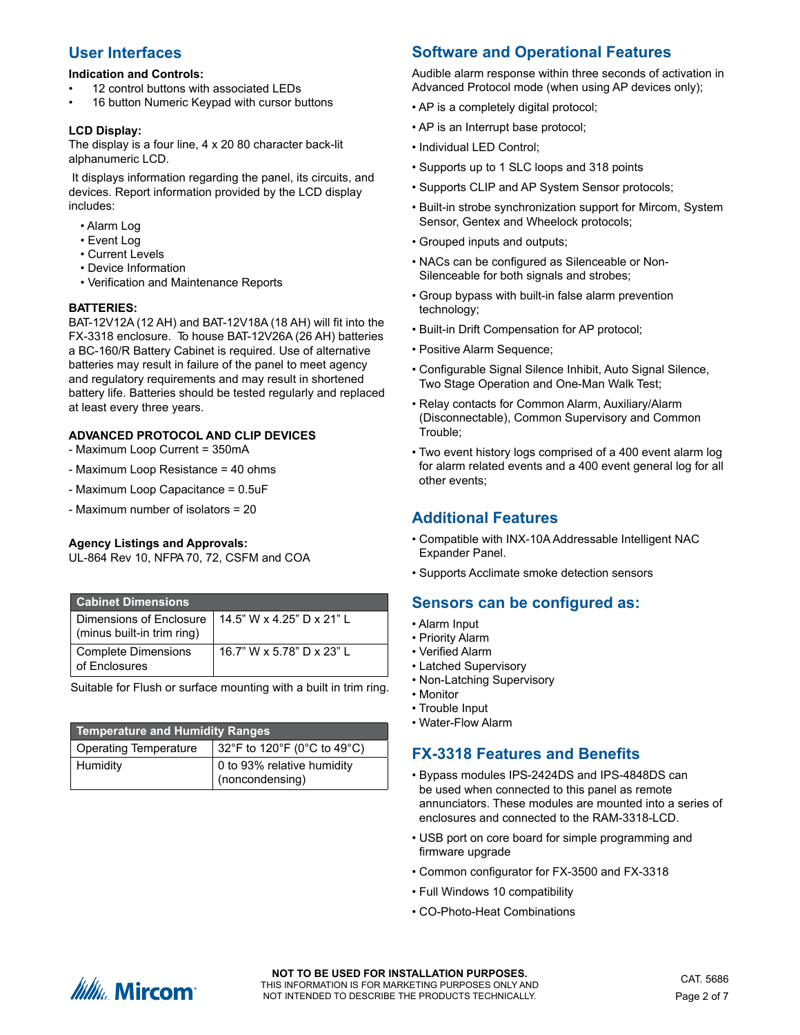### **User Interfaces**

### **Indication and Controls:**

- 12 control buttons with associated LFDs
- 16 button Numeric Keypad with cursor buttons

### **LCD Display:**

The display is a four line, 4 x 20 80 character back-lit alphanumeric LCD.

 It displays information regarding the panel, its circuits, and devices. Report information provided by the LCD display includes:

- Alarm Log
- Event Log
- Current Levels
- Device Information
- Verification and Maintenance Reports

#### **BATTERIES:**

BAT-12V12A (12 AH) and BAT-12V18A (18 AH) will fit into the FX-3318 enclosure. To house BAT-12V26A (26 AH) batteries a BC-160/R Battery Cabinet is required. Use of alternative batteries may result in failure of the panel to meet agency and regulatory requirements and may result in shortened battery life. Batteries should be tested regularly and replaced at least every three years.

### **ADVANCED PROTOCOL AND CLIP DEVICES**

- Maximum Loop Current = 350mA
- Maximum Loop Resistance = 40 ohms
- Maximum Loop Capacitance = 0.5uF
- Maximum number of isolators = 20

#### **Agency Listings and Approvals:**

UL-864 Rev 10, NFPA 70, 72, CSFM and COA

| <b>Cabinet Dimensions</b>                             |                           |
|-------------------------------------------------------|---------------------------|
| Dimensions of Enclosure<br>(minus built-in trim ring) | 14.5" W x 4.25" D x 21" L |
| Complete Dimensions<br>of Enclosures                  | 16.7" W x 5.78" D x 23" L |

Suitable for Flush or surface mounting with a built in trim ring.

| <b>Temperature and Humidity Ranges</b> |                                                             |  |  |
|----------------------------------------|-------------------------------------------------------------|--|--|
| <b>Operating Temperature</b>           | 32°F to 120°F (0°C to 49°C)                                 |  |  |
| Humidity                               | 0 to 93% relative humidity<br>$\frac{1}{2}$ (noncondensing) |  |  |

# **Software and Operational Features**

Audible alarm response within three seconds of activation in Advanced Protocol mode (when using AP devices only);

- AP is a completely digital protocol;
- AP is an Interrupt base protocol;
- Individual LED Control;
- Supports up to 1 SLC loops and 318 points
- Supports CLIP and AP System Sensor protocols;
- Built-in strobe synchronization support for Mircom, System Sensor, Gentex and Wheelock protocols;
- Grouped inputs and outputs;
- NACs can be configured as Silenceable or Non-Silenceable for both signals and strobes;
- Group bypass with built-in false alarm prevention technology;
- Built-in Drift Compensation for AP protocol;
- Positive Alarm Sequence;
- Configurable Signal Silence Inhibit, Auto Signal Silence, Two Stage Operation and One-Man Walk Test;
- Relay contacts for Common Alarm, Auxiliary/Alarm (Disconnectable), Common Supervisory and Common Trouble;
- Two event history logs comprised of a 400 event alarm log for alarm related events and a 400 event general log for all other events;

### **Additional Features**

- Compatible with INX-10A Addressable Intelligent NAC Expander Panel.
- Supports Acclimate smoke detection sensors

### **Sensors can be configured as:**

- Alarm Input
- Priority Alarm
- Verified Alarm
- Latched Supervisory
- Non-Latching Supervisory
- Monitor
- Trouble Input
- Water-Flow Alarm

### **FX-3318 Features and Benefits**

- Bypass modules IPS-2424DS and IPS-4848DS can be used when connected to this panel as remote annunciators. These modules are mounted into a series of enclosures and connected to the RAM-3318-LCD.
- USB port on core board for simple programming and firmware upgrade
- Common configurator for FX-3500 and FX-3318
- Full Windows 10 compatibility
- CO-Photo-Heat Combinations

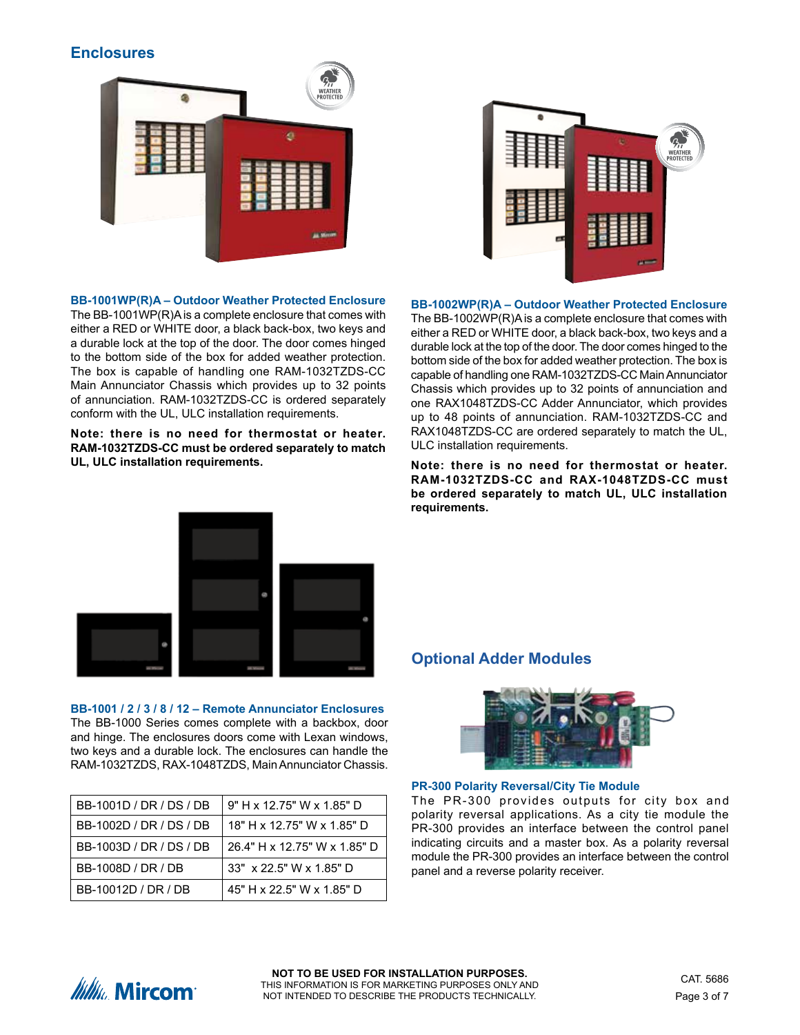### **Enclosures**



**WEATHER**<br>ROTECTEI

**BB-1001WP(R)A – Outdoor Weather Protected Enclosure** The BB-1001WP(R)A is a complete enclosure that comes with either a RED or WHITE door, a black back-box, two keys and a durable lock at the top of the door. The door comes hinged to the bottom side of the box for added weather protection. The box is capable of handling one RAM-1032TZDS-CC Main Annunciator Chassis which provides up to 32 points of annunciation. RAM-1032TZDS-CC is ordered separately conform with the UL, ULC installation requirements.

**Note: there is no need for thermostat or heater. RAM-1032TZDS-CC must be ordered separately to match UL, ULC installation requirements.**

**BB-1002WP(R)A – Outdoor Weather Protected Enclosure** The BB-1002WP(R)A is a complete enclosure that comes with either a RED or WHITE door, a black back-box, two keys and a durable lock at the top of the door. The door comes hinged to the bottom side of the box for added weather protection. The box is capable of handling one RAM-1032TZDS-CC Main Annunciator Chassis which provides up to 32 points of annunciation and one RAX1048TZDS-CC Adder Annunciator, which provides up to 48 points of annunciation. RAM-1032TZDS-CC and RAX1048TZDS-CC are ordered separately to match the UL, ULC installation requirements.

**Note: there is no need for thermostat or heater. RAM-1032TZDS-CC and RAX-1048TZDS-CC must be ordered separately to match UL, ULC installation requirements.**



**BB-1001 / 2 / 3 / 8 / 12 – Remote Annunciator Enclosures** The BB-1000 Series comes complete with a backbox, door and hinge. The enclosures doors come with Lexan windows, two keys and a durable lock. The enclosures can handle the RAM-1032TZDS, RAX-1048TZDS, Main Annunciator Chassis.

| BB-1001D / DR / DS / DB | 9" H x 12.75" W x 1.85" D    |
|-------------------------|------------------------------|
| BB-1002D / DR / DS / DB | 18" H x 12.75" W x 1.85" D   |
| BB-1003D / DR / DS / DB | 26.4" H x 12.75" W x 1.85" D |
| BB-1008D / DR / DB      | 33" x 22.5" W x 1.85" D      |
| BB-10012D / DR / DB     | 45" H x 22.5" W x 1.85" D    |

### **Optional Adder Modules**



**PR-300 Polarity Reversal/City Tie Module** 

The PR-300 provides outputs for city box and polarity reversal applications. As a city tie module the PR-300 provides an interface between the control panel indicating circuits and a master box. As a polarity reversal module the PR-300 provides an interface between the control panel and a reverse polarity receiver.

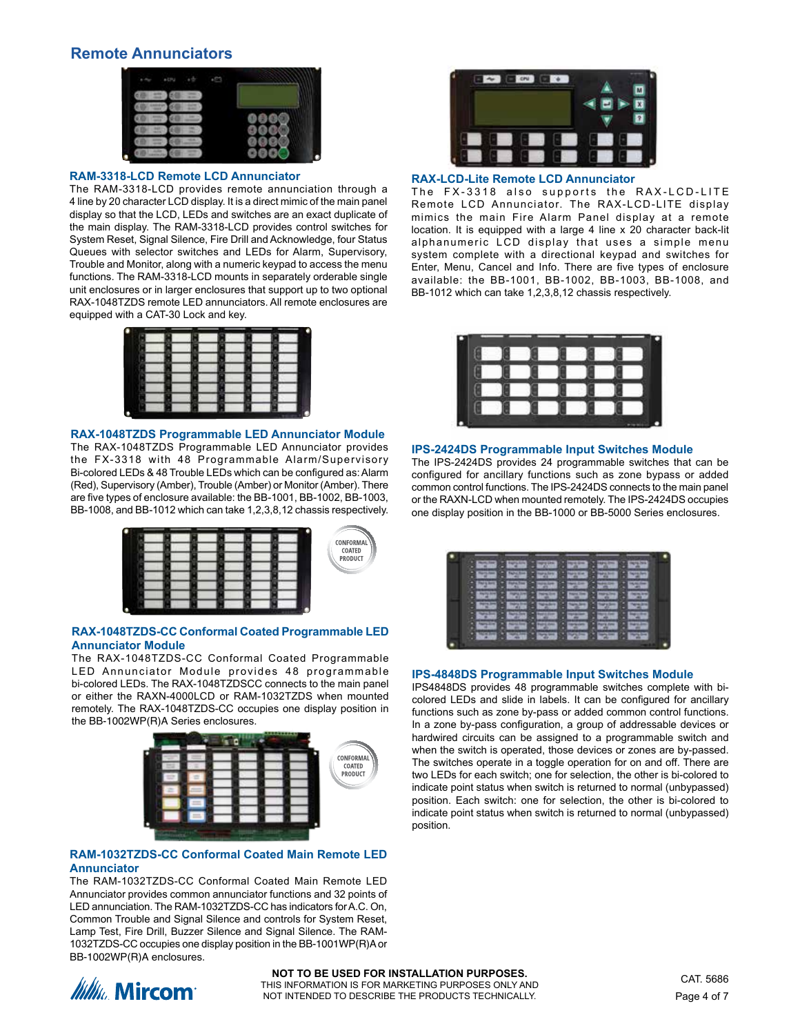### **Remote Annunciators**



#### **RAM-3318-LCD Remote LCD Annunciator**

The RAM-3318-LCD provides remote annunciation through a 4 line by 20 character LCD display. It is a direct mimic of the main panel display so that the LCD, LEDs and switches are an exact duplicate of the main display. The RAM-3318-LCD provides control switches for System Reset, Signal Silence, Fire Drill and Acknowledge, four Status Queues with selector switches and LEDs for Alarm, Supervisory, Trouble and Monitor, along with a numeric keypad to access the menu functions. The RAM-3318-LCD mounts in separately orderable single unit enclosures or in larger enclosures that support up to two optional RAX-1048TZDS remote LED annunciators. All remote enclosures are equipped with a CAT-30 Lock and key.



### **RAX-1048TZDS Programmable LED Annunciator Module**

The RAX-1048TZDS Programmable LED Annunciator provides the FX-3318 with 48 Programmable Alarm/Supervisory Bi-colored LEDs & 48 Trouble LEDs which can be configured as: Alarm (Red), Supervisory (Amber), Trouble (Amber) or Monitor (Amber). There are five types of enclosure available: the BB-1001, BB-1002, BB-1003, BB-1008, and BB-1012 which can take 1,2,3,8,12 chassis respectively.



#### **RAX-1048TZDS-CC Conformal Coated Programmable LED Annunciator Module**

The RAX-1048TZDS-CC Conformal Coated Programmable LED Annunciator Module provides 48 programmable bi-colored LEDs. The RAX-1048TZDSCC connects to the main panel or either the RAXN-4000LCD or RAM-1032TZDS when mounted remotely. The RAX-1048TZDS-CC occupies one display position in the BB-1002WP(R)A Series enclosures.



#### **RAM-1032TZDS-CC Conformal Coated Main Remote LED Annunciator**

The RAM-1032TZDS-CC Conformal Coated Main Remote LED Annunciator provides common annunciator functions and 32 points of LED annunciation. The RAM-1032TZDS-CC has indicators for A.C. On, Common Trouble and Signal Silence and controls for System Reset, Lamp Test, Fire Drill, Buzzer Silence and Signal Silence. The RAM-1032TZDS-CC occupies one display position in the BB-1001WP(R)A or BB-1002WP(R)A enclosures.



### **RAX-LCD-Lite Remote LCD Annunciator**

The FX-3318 also supports the RAX-LCD-LITE Remote LCD Annunciator. The RAX-LCD-LITE display mimics the main Fire Alarm Panel display at a remote location. It is equipped with a large 4 line x 20 character back-lit alphanumeric LCD display that uses a simple menu system complete with a directional keypad and switches for Enter, Menu, Cancel and Info. There are five types of enclosure available: the BB-1001, BB-1002, BB-1003, BB-1008, and BB-1012 which can take 1,2,3,8,12 chassis respectively.



### **IPS-2424DS Programmable Input Switches Module**

The IPS-2424DS provides 24 programmable switches that can be configured for ancillary functions such as zone bypass or added common control functions. The IPS-2424DS connects to the main panel or the RAXN-LCD when mounted remotely. The IPS-2424DS occupies one display position in the BB-1000 or BB-5000 Series enclosures.

| ۰           | -      | ٠<br>-                 | ۰<br>٠<br>٠ | ٠                         | -      |  |
|-------------|--------|------------------------|-------------|---------------------------|--------|--|
|             |        | ٠<br>-<br>۰            | ٠<br>۰      |                           |        |  |
| ٠           | -      |                        | ۰           | ۰                         |        |  |
| ٠<br>-<br>۰ | ۰<br>۰ | ۰                      | ٠<br>۰      | ٠                         | -      |  |
| ٠<br>۰      | ۰      | ٠                      | ۰<br>۰      | ٠                         | ۰<br>۰ |  |
| ٠<br>٠      |        | ▫<br>۰                 | ۰<br>۰      | ٠<br>٠                    | ۰      |  |
| ٠           |        | ٠<br><b>Chair</b><br>٠ | в<br>۰      | в<br>a.<br><b>Am</b><br>٠ | -      |  |
| ٠           | ٠      | ۰                      | ٠<br>٠      | ٠                         | ۰      |  |
|             |        |                        |             |                           |        |  |

#### **IPS-4848DS Programmable Input Switches Module**

IPS4848DS provides 48 programmable switches complete with bicolored LEDs and slide in labels. It can be configured for ancillary functions such as zone by-pass or added common control functions. In a zone by-pass configuration, a group of addressable devices or hardwired circuits can be assigned to a programmable switch and when the switch is operated, those devices or zones are by-passed. The switches operate in a toggle operation for on and off. There are two LEDs for each switch; one for selection, the other is bi-colored to indicate point status when switch is returned to normal (unbypassed) position. Each switch: one for selection, the other is bi-colored to indicate point status when switch is returned to normal (unbypassed) position.

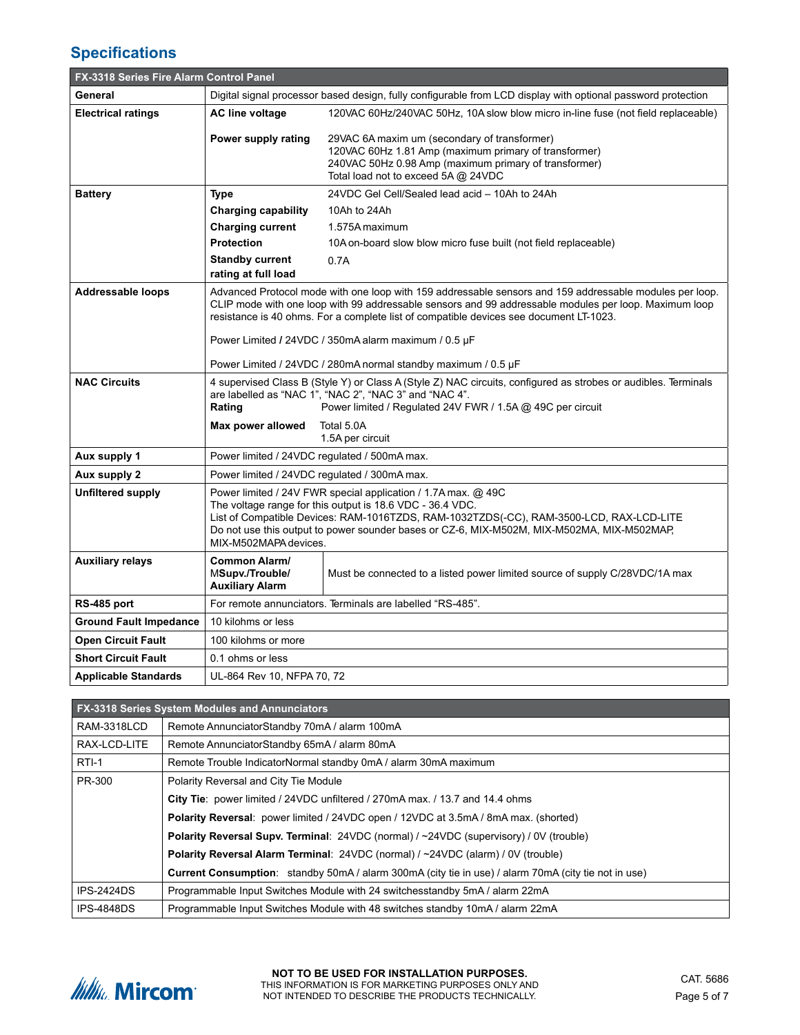# **Specifications**

| <b>FX-3318 Series Fire Alarm Control Panel</b> |                                                                                                                                                                                                                                                                                                                                              |                                                                                                                                                                                                       |  |  |  |
|------------------------------------------------|----------------------------------------------------------------------------------------------------------------------------------------------------------------------------------------------------------------------------------------------------------------------------------------------------------------------------------------------|-------------------------------------------------------------------------------------------------------------------------------------------------------------------------------------------------------|--|--|--|
| General                                        |                                                                                                                                                                                                                                                                                                                                              | Digital signal processor based design, fully configurable from LCD display with optional password protection                                                                                          |  |  |  |
| <b>Electrical ratings</b>                      | 120VAC 60Hz/240VAC 50Hz, 10A slow blow micro in-line fuse (not field replaceable)<br><b>AC line voltage</b>                                                                                                                                                                                                                                  |                                                                                                                                                                                                       |  |  |  |
|                                                | Power supply rating                                                                                                                                                                                                                                                                                                                          | 29VAC 6A maxim um (secondary of transformer)<br>120VAC 60Hz 1.81 Amp (maximum primary of transformer)<br>240VAC 50Hz 0.98 Amp (maximum primary of transformer)<br>Total load not to exceed 5A @ 24VDC |  |  |  |
| <b>Battery</b>                                 | <b>Type</b>                                                                                                                                                                                                                                                                                                                                  | 24VDC Gel Cell/Sealed lead acid - 10Ah to 24Ah                                                                                                                                                        |  |  |  |
|                                                | <b>Charging capability</b>                                                                                                                                                                                                                                                                                                                   | 10Ah to 24Ah                                                                                                                                                                                          |  |  |  |
|                                                | <b>Charging current</b>                                                                                                                                                                                                                                                                                                                      | 1.575A maximum                                                                                                                                                                                        |  |  |  |
|                                                | <b>Protection</b>                                                                                                                                                                                                                                                                                                                            | 10A on-board slow blow micro fuse built (not field replaceable)                                                                                                                                       |  |  |  |
|                                                | <b>Standby current</b>                                                                                                                                                                                                                                                                                                                       | 0.7A                                                                                                                                                                                                  |  |  |  |
|                                                | rating at full load                                                                                                                                                                                                                                                                                                                          |                                                                                                                                                                                                       |  |  |  |
| <b>Addressable loops</b>                       | Advanced Protocol mode with one loop with 159 addressable sensors and 159 addressable modules per loop.<br>CLIP mode with one loop with 99 addressable sensors and 99 addressable modules per loop. Maximum loop<br>resistance is 40 ohms. For a complete list of compatible devices see document LT-1023.                                   |                                                                                                                                                                                                       |  |  |  |
|                                                | Power Limited / 24VDC / 350mA alarm maximum / 0.5 µF                                                                                                                                                                                                                                                                                         |                                                                                                                                                                                                       |  |  |  |
|                                                | Power Limited / 24VDC / 280mA normal standby maximum / 0.5 µF                                                                                                                                                                                                                                                                                |                                                                                                                                                                                                       |  |  |  |
| <b>NAC Circuits</b>                            | 4 supervised Class B (Style Y) or Class A (Style Z) NAC circuits, configured as strobes or audibles. Terminals<br>are labelled as "NAC 1", "NAC 2", "NAC 3" and "NAC 4".<br>Rating<br>Power limited / Regulated 24V FWR / 1.5A @ 49C per circuit                                                                                             |                                                                                                                                                                                                       |  |  |  |
|                                                | Max power allowed                                                                                                                                                                                                                                                                                                                            | Total 5.0A<br>1.5A per circuit                                                                                                                                                                        |  |  |  |
| Aux supply 1                                   | Power limited / 24VDC regulated / 500mA max.                                                                                                                                                                                                                                                                                                 |                                                                                                                                                                                                       |  |  |  |
| Aux supply 2                                   | Power limited / 24VDC regulated / 300mA max.                                                                                                                                                                                                                                                                                                 |                                                                                                                                                                                                       |  |  |  |
| <b>Unfiltered supply</b>                       | Power limited / 24V FWR special application / 1.7A max. @ 49C<br>The voltage range for this output is 18.6 VDC - 36.4 VDC.<br>List of Compatible Devices: RAM-1016TZDS, RAM-1032TZDS(-CC), RAM-3500-LCD, RAX-LCD-LITE<br>Do not use this output to power sounder bases or CZ-6, MIX-M502M, MIX-M502MA, MIX-M502MAP,<br>MIX-M502MAPA devices. |                                                                                                                                                                                                       |  |  |  |
| <b>Auxiliary relays</b>                        | Common Alarm/<br>MSupv./Trouble/<br><b>Auxiliary Alarm</b>                                                                                                                                                                                                                                                                                   | Must be connected to a listed power limited source of supply C/28VDC/1A max                                                                                                                           |  |  |  |
| RS-485 port                                    |                                                                                                                                                                                                                                                                                                                                              | For remote annunciators. Terminals are labelled "RS-485".                                                                                                                                             |  |  |  |
| <b>Ground Fault Impedance</b>                  | 10 kilohms or less                                                                                                                                                                                                                                                                                                                           |                                                                                                                                                                                                       |  |  |  |
| <b>Open Circuit Fault</b>                      | 100 kilohms or more                                                                                                                                                                                                                                                                                                                          |                                                                                                                                                                                                       |  |  |  |
| <b>Short Circuit Fault</b>                     | 0.1 ohms or less                                                                                                                                                                                                                                                                                                                             |                                                                                                                                                                                                       |  |  |  |
| Applicable Standards                           | UL-864 Rev 10, NFPA 70, 72                                                                                                                                                                                                                                                                                                                   |                                                                                                                                                                                                       |  |  |  |

|                    | <b>FX-3318 Series System Modules and Annunciators</b>                                                       |
|--------------------|-------------------------------------------------------------------------------------------------------------|
| <b>RAM-3318LCD</b> | Remote AnnunciatorStandby 70mA / alarm 100mA                                                                |
| RAX-LCD-LITE       | Remote AnnunciatorStandby 65mA / alarm 80mA                                                                 |
| $RTI-1$            | Remote Trouble IndicatorNormal standby 0mA / alarm 30mA maximum                                             |
| PR-300             | Polarity Reversal and City Tie Module                                                                       |
|                    | City Tie: power limited / 24VDC unfiltered / 270mA max. / 13.7 and 14.4 ohms                                |
|                    | Polarity Reversal: power limited / 24VDC open / 12VDC at 3.5mA / 8mA max. (shorted)                         |
|                    | <b>Polarity Reversal Supy. Terminal: 24VDC (normal) / ~24VDC (supervisory) / 0V (trouble)</b>               |
|                    | Polarity Reversal Alarm Terminal: 24VDC (normal) / ~24VDC (alarm) / 0V (trouble)                            |
|                    | <b>Current Consumption:</b> standby 50mA / alarm 300mA (city tie in use) / alarm 70mA (city tie not in use) |
| <b>IPS-2424DS</b>  | Programmable Input Switches Module with 24 switchesstandby 5mA / alarm 22mA                                 |
| <b>IPS-4848DS</b>  | Programmable Input Switches Module with 48 switches standby 10mA / alarm 22mA                               |

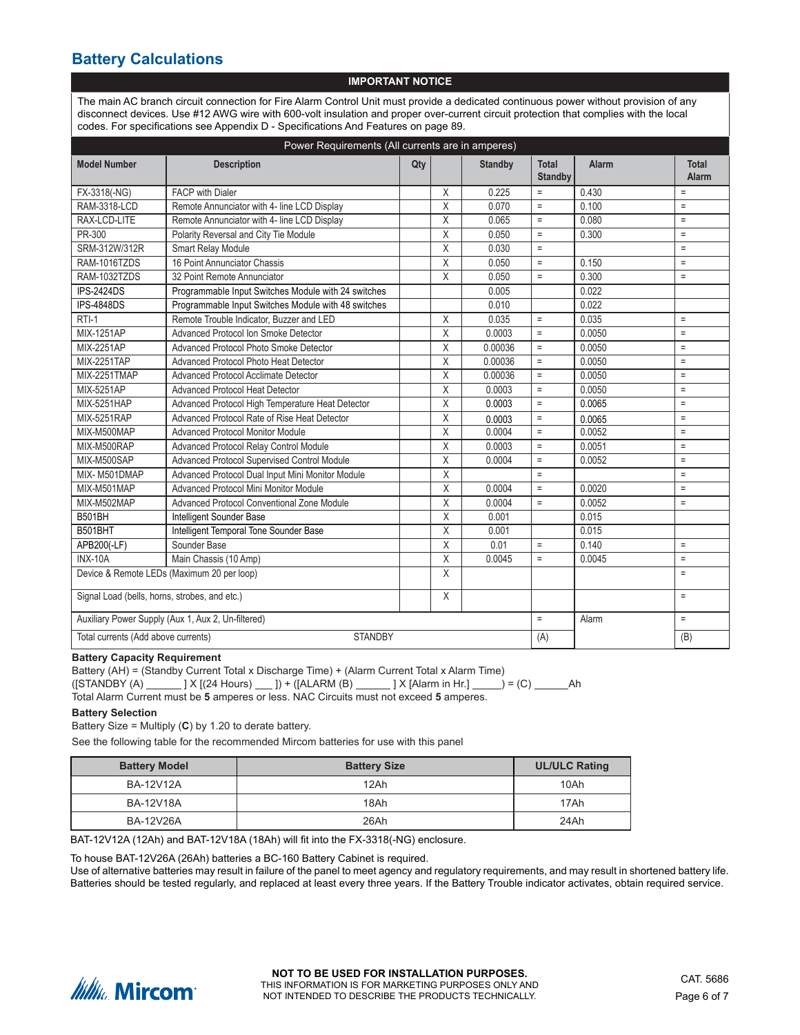### **Battery Calculations**

#### **IMPORTANT NOTICE**

The main AC branch circuit connection for Fire Alarm Control Unit must provide a dedicated continuous power without provision of any disconnect devices. Use #12 AWG wire with 600-volt insulation and proper over-current circuit protection that complies with the local codes. For specifications see Appendix D - Specifications And Features on page 89.

| Power Requirements (All currents are in amperes)      |                                                     |     |                         |                |                                |        |                       |
|-------------------------------------------------------|-----------------------------------------------------|-----|-------------------------|----------------|--------------------------------|--------|-----------------------|
| <b>Model Number</b>                                   | <b>Description</b>                                  | Qty |                         | <b>Standby</b> | <b>Total</b><br><b>Standby</b> | Alarm  | <b>Total</b><br>Alarm |
| FX-3318(-NG)                                          | <b>FACP</b> with Dialer                             |     | X                       | 0.225          | $\equiv$                       | 0.430  | $\equiv$              |
| <b>RAM-3318-LCD</b>                                   | Remote Annunciator with 4- line LCD Display         |     | $\times$                | 0.070          | $\equiv$                       | 0.100  | $\equiv$              |
| RAX-LCD-LITE                                          | Remote Annunciator with 4- line LCD Display         |     | X                       | 0.065          | $\equiv$                       | 0.080  | $\equiv$              |
| PR-300                                                | Polarity Reversal and City Tie Module               |     | $\sf X$                 | 0.050          | $\equiv$                       | 0.300  | $\equiv$              |
| SRM-312W/312R                                         | Smart Relay Module                                  |     | X                       | 0.030          | $\equiv$                       |        | $\equiv$              |
| RAM-1016TZDS                                          | 16 Point Annunciator Chassis                        |     | Χ                       | 0.050          | $\equiv$                       | 0.150  | $\equiv$              |
| RAM-1032TZDS                                          | 32 Point Remote Annunciator                         |     | $\chi$                  | 0.050          | $\equiv$                       | 0.300  | $\equiv$              |
| <b>IPS-2424DS</b>                                     | Programmable Input Switches Module with 24 switches |     |                         | 0.005          |                                | 0.022  |                       |
| <b>IPS-4848DS</b>                                     | Programmable Input Switches Module with 48 switches |     |                         | 0.010          |                                | 0.022  |                       |
| $RTI-1$                                               | Remote Trouble Indicator, Buzzer and LED            |     | X                       | 0.035          | $\equiv$                       | 0.035  | $\equiv$              |
| <b>MIX-1251AP</b>                                     | Advanced Protocol Ion Smoke Detector                |     | $\mathsf X$             | 0.0003         | $\equiv$                       | 0.0050 | $\equiv$              |
| <b>MIX-2251AP</b>                                     | Advanced Protocol Photo Smoke Detector              |     | $\times$                | 0.00036        | $\equiv$                       | 0.0050 | $\equiv$              |
| <b>MIX-2251TAP</b>                                    | Advanced Protocol Photo Heat Detector               |     | Χ                       | 0.00036        | $\equiv$                       | 0.0050 | $\equiv$              |
| MIX-2251TMAP                                          | Advanced Protocol Acclimate Detector                |     | X                       | 0.00036        | $\equiv$                       | 0.0050 | $\equiv$              |
| <b>MIX-5251AP</b>                                     | <b>Advanced Protocol Heat Detector</b>              |     | $\times$                | 0.0003         | $\equiv$                       | 0.0050 | $\equiv$              |
| <b>MIX-5251HAP</b>                                    | Advanced Protocol High Temperature Heat Detector    |     | X                       | 0.0003         | $\equiv$                       | 0.0065 | $\equiv$              |
| <b>MIX-5251RAP</b>                                    | Advanced Protocol Rate of Rise Heat Detector        |     | X                       | 0.0003         | $\equiv$                       | 0.0065 | $\equiv$              |
| MIX-M500MAP                                           | <b>Advanced Protocol Monitor Module</b>             |     | $\overline{\mathsf{X}}$ | 0.0004         | $\equiv$                       | 0.0052 | $\equiv$              |
| MIX-M500RAP                                           | Advanced Protocol Relay Control Module              |     | $\overline{X}$          | 0.0003         | $\equiv$                       | 0.0051 | $\equiv$              |
| MIX-M500SAP                                           | Advanced Protocol Supervised Control Module         |     | $\sf X$                 | 0.0004         | $\equiv$                       | 0.0052 | $\equiv$              |
| MIX-M501DMAP                                          | Advanced Protocol Dual Input Mini Monitor Module    |     | Χ                       |                | $\equiv$                       |        | $\equiv$              |
| MIX-M501MAP                                           | Advanced Protocol Mini Monitor Module               |     | X                       | 0.0004         | $\equiv$                       | 0.0020 | $\equiv$              |
| MIX-M502MAP                                           | Advanced Protocol Conventional Zone Module          |     | X                       | 0.0004         | $\equiv$                       | 0.0052 | $\equiv$              |
| B501BH                                                | Intelligent Sounder Base                            |     | Χ                       | 0.001          |                                | 0.015  |                       |
| B501BHT                                               | Intelligent Temporal Tone Sounder Base              |     | X                       | 0.001          |                                | 0.015  |                       |
| APB200(-LF)                                           | Sounder Base                                        |     | X                       | 0.01           | $\equiv$                       | 0.140  | $\equiv$              |
| <b>INX-10A</b>                                        | Main Chassis (10 Amp)                               |     | X                       | 0.0045         | $\equiv$                       | 0.0045 | $\equiv$              |
| Device & Remote LEDs (Maximum 20 per loop)            |                                                     |     | X                       |                |                                |        | $\equiv$              |
| Signal Load (bells, horns, strobes, and etc.)         |                                                     |     | $\sf X$                 |                |                                |        | $\equiv$              |
| Auxiliary Power Supply (Aux 1, Aux 2, Un-filtered)    |                                                     |     |                         |                | $\equiv$                       | Alarm  | $\equiv$              |
| <b>STANDBY</b><br>Total currents (Add above currents) |                                                     |     |                         |                | (A)                            |        | (B)                   |

**Battery Capacity Requirement**

Battery (AH) = (Standby Current Total x Discharge Time) + (Alarm Current Total x Alarm Time) ([STANDBY (A) \_\_\_\_\_\_] X [(24 Hours) \_\_\_]) + ([ALARM (B) \_\_\_\_\_\_] X [Alarm in Hr.] \_\_\_\_\_) = (C) \_\_\_\_\_\_Ah

Total Alarm Current must be **5** amperes or less. NAC Circuits must not exceed **5** amperes.

#### **Battery Selection**

Battery Size = Multiply (**C**) by 1.20 to derate battery.

See the following table for the recommended Mircom batteries for use with this panel

| <b>Battery Model</b> | <b>Battery Size</b> | <b>UL/ULC Rating</b> |
|----------------------|---------------------|----------------------|
| BA-12V12A            | 12Ah                | 10Ah                 |
| <b>BA-12V18A</b>     | 18Ah                | 17Ah                 |
| <b>BA-12V26A</b>     | 26Ah                | 24Ah                 |

BAT-12V12A (12Ah) and BAT-12V18A (18Ah) will fit into the FX-3318(-NG) enclosure.

To house BAT-12V26A (26Ah) batteries a BC-160 Battery Cabinet is required.

Use of alternative batteries may result in failure of the panel to meet agency and regulatory requirements, and may result in shortened battery life. Batteries should be tested regularly, and replaced at least every three years. If the Battery Trouble indicator activates, obtain required service.